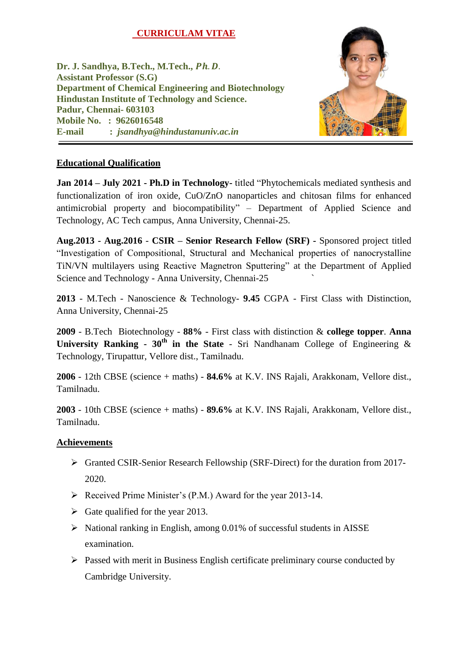# **CURRICULAM VITAE**

**Dr. J. Sandhya, B.Tech., M.Tech.,** *Ph. D.* **Assistant Professor (S.G) Department of Chemical Engineering and Biotechnology Hindustan Institute of Technology and Science. Padur, Chennai- 603103 Mobile No. : 9626016548 E-mail :** *jsandhya@hindustanuniv.ac.in*



## **Educational Qualification**

**Jan 2014 – July 2021 - Ph.D in Technology-** titled "Phytochemicals mediated synthesis and functionalization of iron oxide, CuO/ZnO nanoparticles and chitosan films for enhanced antimicrobial property and biocompatibility" – Department of Applied Science and Technology, AC Tech campus, Anna University, Chennai-25.

**Aug.2013 - Aug.2016** - **CSIR – Senior Research Fellow (SRF) -** Sponsored project titled "Investigation of Compositional, Structural and Mechanical properties of nanocrystalline TiN/VN multilayers using Reactive Magnetron Sputtering" at the Department of Applied Science and Technology - Anna University, Chennai-25 `

**2013** - M.Tech - Nanoscience & Technology- **9.45** CGPA - First Class with Distinction, Anna University, Chennai-25

**2009** - B.Tech Biotechnology - **88%** - First class with distinction & **college topper**. **Anna** University Ranking -  $30^{\text{th}}$  in the State - Sri Nandhanam College of Engineering & Technology, Tirupattur, Vellore dist., Tamilnadu.

**2006** - 12th CBSE (science + maths) - **84.6%** at K.V. INS Rajali, Arakkonam, Vellore dist., Tamilnadu.

**2003** - 10th CBSE (science + maths) - **89.6%** at K.V. INS Rajali, Arakkonam, Vellore dist., Tamilnadu.

## **Achievements**

- Granted CSIR-Senior Research Fellowship (SRF-Direct) for the duration from 2017- 2020.
- $\triangleright$  Received Prime Minister's (P.M.) Award for the year 2013-14.
- $\triangleright$  Gate qualified for the year 2013.
- $\triangleright$  National ranking in English, among 0.01% of successful students in AISSE examination.
- $\triangleright$  Passed with merit in Business English certificate preliminary course conducted by Cambridge University.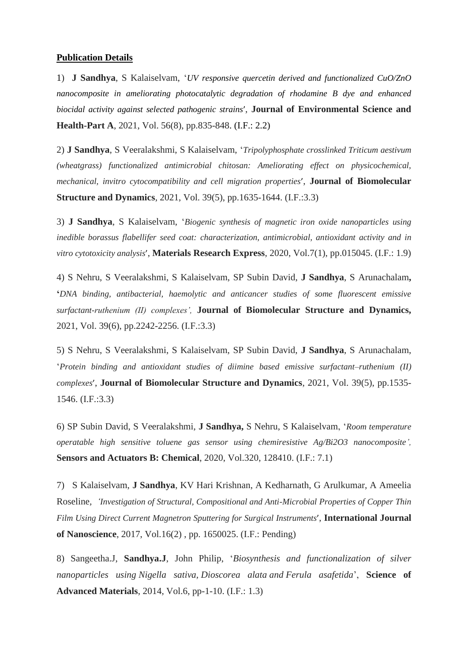#### **Publication Details**

1) **J Sandhya**, S Kalaiselvam, "*[UV responsive quercetin derived and functionalized CuO/ZnO](https://scholar.google.co.in/scholar?oi=bibs&cluster=16973931190001139013&btnI=1&hl=en)  [nanocomposite in ameliorating photocatalytic degradation of rhodamine B dye and enhanced](https://scholar.google.co.in/scholar?oi=bibs&cluster=16973931190001139013&btnI=1&hl=en)  [biocidal activity against selected pathogenic strains](https://scholar.google.co.in/scholar?oi=bibs&cluster=16973931190001139013&btnI=1&hl=en)*', **Journal of Environmental Science and Health-Part A**, 2021, Vol. 56(8), pp.835-848. (I.F.: 2.2)

2) **J Sandhya**, S Veeralakshmi, S Kalaiselvam, "*[Tripolyphosphate crosslinked Triticum aestivum](https://scholar.google.co.in/scholar?oi=bibs&cluster=13505884203293831264&btnI=1&hl=en)  [\(wheatgrass\) functionalized antimicrobial chitosan: Ameliorating effect on physicochemical,](https://scholar.google.co.in/scholar?oi=bibs&cluster=13505884203293831264&btnI=1&hl=en)  [mechanical, invitro cytocompatibility and cell migration properties](https://scholar.google.co.in/scholar?oi=bibs&cluster=13505884203293831264&btnI=1&hl=en)*', **Journal of Biomolecular Structure and Dynamics**, 2021, Vol. 39(5), pp.1635-1644. (I.F.:3.3)

3) **J Sandhya**, S Kalaiselvam, "*[Biogenic synthesis of magnetic iron oxide nanoparticles using](https://iopscience.iop.org/article/10.1088/2053-1591/ab6642/meta)  [inedible borassus flabellifer seed coat: characterization, antimicrobial, antioxidant activity and in](https://iopscience.iop.org/article/10.1088/2053-1591/ab6642/meta)  [vitro cytotoxicity analysis](https://iopscience.iop.org/article/10.1088/2053-1591/ab6642/meta)*', **Materials Research Express**, 2020, Vol.7(1), pp.015045. (I.F.: 1.9)

4) S Nehru, S Veeralakshmi, S Kalaiselvam, SP Subin David, **J Sandhya**, S Arunachalam**, '***DNA binding, antibacterial, haemolytic and anticancer studies of some fluorescent emissive surfactant-ruthenium (II) complexes',* **Journal of Biomolecular Structure and Dynamics,**  2021, Vol. 39(6), pp.2242-2256. (I.F.:3.3)

5) S Nehru, S Veeralakshmi, S Kalaiselvam, SP Subin David, **J Sandhya**, S Arunachalam, "*[Protein binding and antioxidant studies of diimine](javascript:void(0)) based emissive surfactant–ruthenium (II) [complexes](javascript:void(0))*', **Journal of Biomolecular Structure and Dynamics**, 2021, Vol. 39(5), pp.1535- 1546. (I.F.:3.3)

6) SP Subin David, S Veeralakshmi, **J Sandhya,** S Nehru, S Kalaiselvam, "*[Room temperature](https://www.sciencedirect.com/science/article/pii/S0925400520307553)  [operatable high sensitive toluene gas sensor using chemiresistive Ag/Bi2O3 nanocomposite'](https://www.sciencedirect.com/science/article/pii/S0925400520307553),*  **Sensors and Actuators B: Chemical**, 2020, Vol.320, 128410. (I.F.: 7.1)

7) S Kalaiselvam, **J Sandhya**, KV Hari Krishnan, A Kedharnath, G Arulkumar, A Ameelia Roseline*, '[Investigation of Structural, Compositional and Anti-Microbial Properties of Copper Thin](javascript:void(0))  [Film Using Direct Current Magnetron](javascript:void(0)) Sputtering for Surgical Instruments*', **International Journal of Nanoscience**, 2017, Vol.16(2) , pp. 1650025. (I.F.: Pending)

8) Sangeetha.J, **Sandhya.J**, John Philip, "*Biosynthesis and functionalization of silver nanoparticles using Nigella sativa, Dioscorea alata and Ferula asafetida*", **Science of Advanced Materials**, 2014, Vol.6, pp-1-10. (I.F.: 1.3)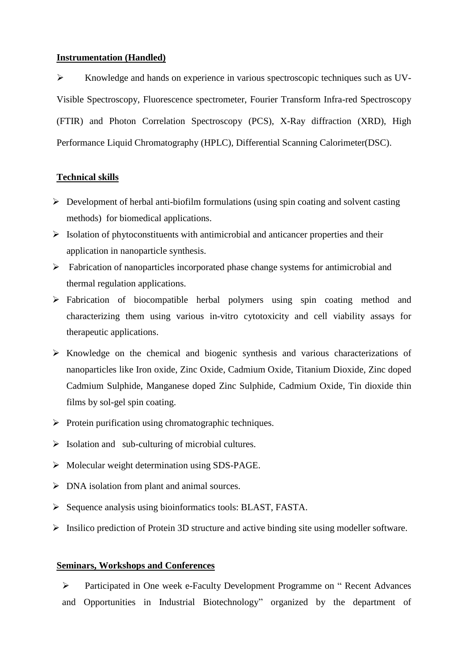#### **Instrumentation (Handled)**

 Knowledge and hands on experience in various spectroscopic techniques such as UV-Visible Spectroscopy, Fluorescence spectrometer, Fourier Transform Infra-red Spectroscopy (FTIR) and Photon Correlation Spectroscopy (PCS), X-Ray diffraction (XRD), High Performance Liquid Chromatography (HPLC), Differential Scanning Calorimeter(DSC).

## **Technical skills**

- $\triangleright$  Development of herbal anti-biofilm formulations (using spin coating and solvent casting methods) for biomedical applications.
- $\triangleright$  Isolation of phytoconstituents with antimicrobial and anticancer properties and their application in nanoparticle synthesis.
- $\triangleright$  Fabrication of nanoparticles incorporated phase change systems for antimicrobial and thermal regulation applications.
- Fabrication of biocompatible herbal polymers using spin coating method and characterizing them using various in-vitro cytotoxicity and cell viability assays for therapeutic applications.
- $\triangleright$  Knowledge on the chemical and biogenic synthesis and various characterizations of nanoparticles like Iron oxide, Zinc Oxide, Cadmium Oxide, Titanium Dioxide, Zinc doped Cadmium Sulphide, Manganese doped Zinc Sulphide, Cadmium Oxide, Tin dioxide thin films by sol-gel spin coating.
- $\triangleright$  Protein purification using chromatographic techniques.
- $\triangleright$  Isolation and sub-culturing of microbial cultures.
- $\triangleright$  Molecular weight determination using SDS-PAGE.
- $\triangleright$  DNA isolation from plant and animal sources.
- $\triangleright$  Sequence analysis using bioinformatics tools: BLAST, FASTA.
- $\triangleright$  Insilico prediction of Protein 3D structure and active binding site using modeller software.

## **Seminars, Workshops and Conferences**

 Participated in One week e-Faculty Development Programme on " Recent Advances and Opportunities in Industrial Biotechnology" organized by the department of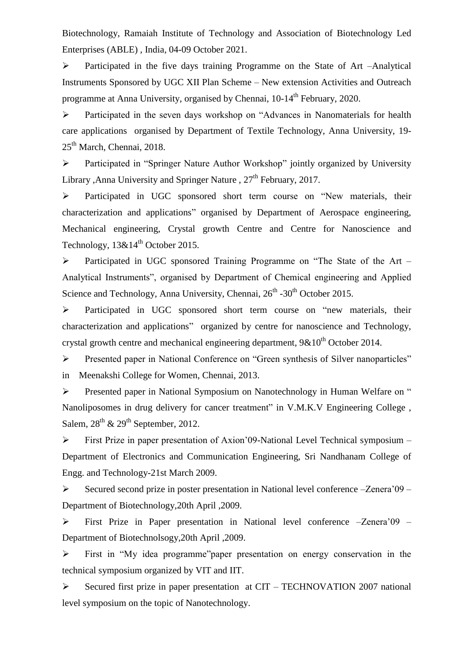Biotechnology, Ramaiah Institute of Technology and Association of Biotechnology Led Enterprises (ABLE) , India, 04-09 October 2021.

 Participated in the five days training Programme on the State of Art –Analytical Instruments Sponsored by UGC XII Plan Scheme – New extension Activities and Outreach programme at Anna University, organised by Chennai, 10-14<sup>th</sup> February, 2020.

 Participated in the seven days workshop on "Advances in Nanomaterials for health care applications organised by Department of Textile Technology, Anna University, 19- 25<sup>th</sup> March, Chennai, 2018.

 Participated in "Springer Nature Author Workshop" jointly organized by University Library ,Anna University and Springer Nature ,  $27<sup>th</sup>$  February, 2017.

 Participated in UGC sponsored short term course on "New materials, their characterization and applications" organised by Department of Aerospace engineering, Mechanical engineering, Crystal growth Centre and Centre for Nanoscience and Technology,  $13\&14^{\text{th}}$  October 2015.

 Participated in UGC sponsored Training Programme on "The State of the Art – Analytical Instruments", organised by Department of Chemical engineering and Applied Science and Technology, Anna University, Chennai, 26<sup>th</sup> -30<sup>th</sup> October 2015.

 Participated in UGC sponsored short term course on "new materials, their characterization and applications" organized by centre for nanoscience and Technology, crystal growth centre and mechanical engineering department,  $9\&10^{th}$  October 2014.

 Presented paper in National Conference on "Green synthesis of Silver nanoparticles" in Meenakshi College for Women, Chennai, 2013.

 Presented paper in National Symposium on Nanotechnology in Human Welfare on " Nanoliposomes in drug delivery for cancer treatment" in V.M.K.V Engineering College , Salem,  $28^{th}$  &  $29^{th}$  September, 2012.

 First Prize in paper presentation of Axion"09-National Level Technical symposium – Department of Electronics and Communication Engineering, Sri Nandhanam College of Engg. and Technology-21st March 2009.

 $\triangleright$  Secured second prize in poster presentation in National level conference –Zenera'09 – Department of Biotechnology,20th April ,2009.

 First Prize in Paper presentation in National level conference –Zenera"09 – Department of Biotechnolsogy,20th April ,2009.

 First in "My idea programme"paper presentation on energy conservation in the technical symposium organized by VIT and IIT.

 $\triangleright$  Secured first prize in paper presentation at CIT – TECHNOVATION 2007 national level symposium on the topic of Nanotechnology.